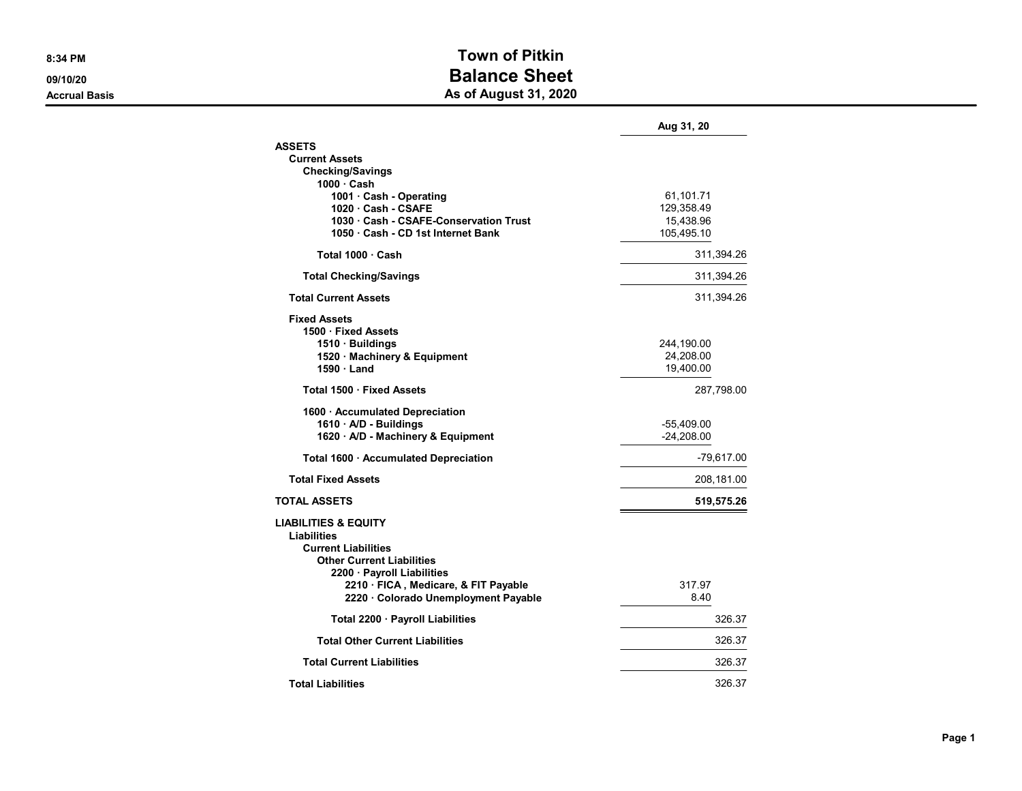## 8:34 PM SALES AND TOWN OF PITKIN 09/10/20 **Balance Sheet** Accrual Basis **Accrual Basis** Accrual Basis **As of August 31, 2020**

|                                                                                                                                                                                                                                | Aug 31, 20                                         |
|--------------------------------------------------------------------------------------------------------------------------------------------------------------------------------------------------------------------------------|----------------------------------------------------|
| <b>ASSETS</b>                                                                                                                                                                                                                  |                                                    |
| <b>Current Assets</b><br><b>Checking/Savings</b><br>$1000 \cdot$ Cash                                                                                                                                                          |                                                    |
| 1001 · Cash - Operating<br>1020 Cash - CSAFE<br>1030 · Cash - CSAFE-Conservation Trust<br>1050 · Cash - CD 1st Internet Bank                                                                                                   | 61,101.71<br>129,358.49<br>15,438.96<br>105,495.10 |
| Total 1000 Cash                                                                                                                                                                                                                | 311,394.26                                         |
| <b>Total Checking/Savings</b>                                                                                                                                                                                                  | 311,394.26                                         |
| <b>Total Current Assets</b>                                                                                                                                                                                                    | 311,394.26                                         |
| <b>Fixed Assets</b><br>1500 · Fixed Assets<br>1510 · Buildings<br>1520 · Machinery & Equipment<br>$1590 \cdot$ Land                                                                                                            | 244,190.00<br>24,208.00<br>19,400.00               |
| Total 1500 · Fixed Assets                                                                                                                                                                                                      | 287,798.00                                         |
| 1600 · Accumulated Depreciation<br>1610 · A/D - Buildings<br>1620 · A/D - Machinery & Equipment                                                                                                                                | $-55,409.00$<br>$-24,208.00$                       |
| Total 1600 · Accumulated Depreciation                                                                                                                                                                                          | $-79,617.00$                                       |
| <b>Total Fixed Assets</b>                                                                                                                                                                                                      | 208,181.00                                         |
| <b>TOTAL ASSETS</b>                                                                                                                                                                                                            | 519,575.26                                         |
| <b>LIABILITIES &amp; EQUITY</b><br>Liabilities<br><b>Current Liabilities</b><br><b>Other Current Liabilities</b><br>2200 · Payroll Liabilities<br>2210 · FICA, Medicare, & FIT Payable<br>2220 · Colorado Unemployment Payable | 317.97<br>8.40                                     |
| Total 2200 · Payroll Liabilities                                                                                                                                                                                               | 326.37                                             |
| <b>Total Other Current Liabilities</b>                                                                                                                                                                                         | 326.37                                             |
| <b>Total Current Liabilities</b>                                                                                                                                                                                               | 326.37                                             |
| <b>Total Liabilities</b>                                                                                                                                                                                                       | 326.37                                             |